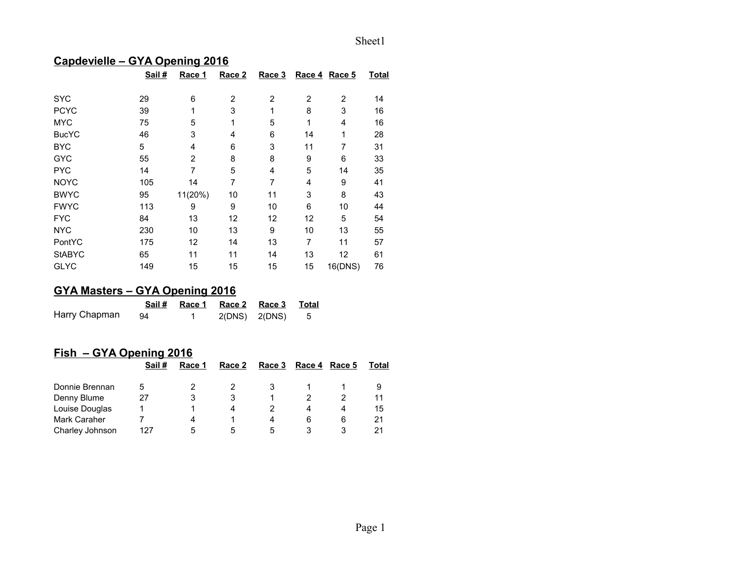## **Capdevielle – GYA Opening 2016**

|               | Sail # | Race 1         | Race 2         | Race 3         |                | Race 4 Race 5  | <b>Total</b> |
|---------------|--------|----------------|----------------|----------------|----------------|----------------|--------------|
| <b>SYC</b>    | 29     | 6              | $\overline{2}$ | $\overline{2}$ | $\overline{2}$ | $\overline{2}$ | 14           |
| <b>PCYC</b>   | 39     | 1              | 3              | 1              | 8              | 3              | 16           |
| <b>MYC</b>    | 75     | 5              | 1              | 5              | 1              | 4              | 16           |
| <b>BucYC</b>  | 46     | 3              | 4              | 6              | 14             | 1              | 28           |
| <b>BYC</b>    | 5      | 4              | 6              | 3              | 11             | 7              | 31           |
| <b>GYC</b>    | 55     | $\overline{2}$ | 8              | 8              | 9              | 6              | 33           |
| <b>PYC</b>    | 14     | 7              | 5              | 4              | 5              | 14             | 35           |
| <b>NOYC</b>   | 105    | 14             | 7              | $\overline{7}$ | 4              | 9              | 41           |
| <b>BWYC</b>   | 95     | 11(20%)        | 10             | 11             | 3              | 8              | 43           |
| <b>FWYC</b>   | 113    | 9              | 9              | 10             | 6              | 10             | 44           |
| <b>FYC</b>    | 84     | 13             | 12             | 12             | 12             | 5              | 54           |
| <b>NYC</b>    | 230    | 10             | 13             | 9              | 10             | 13             | 55           |
| PontYC        | 175    | 12             | 14             | 13             | 7              | 11             | 57           |
| <b>StABYC</b> | 65     | 11             | 11             | 14             | 13             | 12             | 61           |
| <b>GLYC</b>   | 149    | 15             | 15             | 15             | 15             | 16(DNS)        | 76           |

# **GYA Masters – GYA Opening 2016**

|               |     | Sail # Race 1 Race 2 Race 3 Total |                 |  |
|---------------|-----|-----------------------------------|-----------------|--|
| Harry Chapman | -94 |                                   | 2(DNS) 2(DNS) 5 |  |

## **Fish – GYA Opening 2016**

|                     | Sail # | Race 1 | Race 2 | Race 3 | Race 4 | Race 5 | Total |
|---------------------|--------|--------|--------|--------|--------|--------|-------|
| Donnie Brennan      | 5      |        |        |        |        |        |       |
| Denny Blume         | 27     |        |        |        |        |        | 11    |
| Louise Douglas      |        |        | 4      |        | 4      |        | 15    |
| <b>Mark Caraher</b> |        | 4      |        | 4      | 6      | 6      | 21    |
| Charley Johnson     | 127    | 5      | 5      | 5      |        |        | 21    |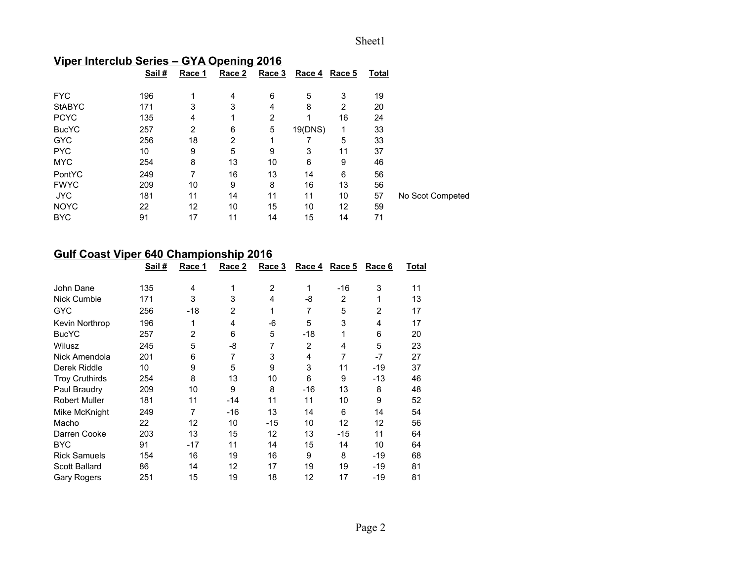# **Viper Interclub Series – GYA Opening 2016**

|               | Sail# | Race 1 | Race 2 | Race 3 | Race 4  | Race 5 | <b>Total</b> |                  |
|---------------|-------|--------|--------|--------|---------|--------|--------------|------------------|
| <b>FYC</b>    | 196   | 1      | 4      | 6      | 5       | 3      | 19           |                  |
| <b>StABYC</b> | 171   | 3      | 3      | 4      | 8       | 2      | 20           |                  |
| <b>PCYC</b>   | 135   | 4      | 1      | 2      | 1       | 16     | 24           |                  |
| <b>BucYC</b>  | 257   | 2      | 6      | 5      | 19(DNS) | 1      | 33           |                  |
| <b>GYC</b>    | 256   | 18     | 2      |        |         | 5      | 33           |                  |
| <b>PYC</b>    | 10    | 9      | 5      | 9      | 3       | 11     | 37           |                  |
| <b>MYC</b>    | 254   | 8      | 13     | 10     | 6       | 9      | 46           |                  |
| PontYC        | 249   | 7      | 16     | 13     | 14      | 6      | 56           |                  |
| <b>FWYC</b>   | 209   | 10     | 9      | 8      | 16      | 13     | 56           |                  |
| <b>JYC</b>    | 181   | 11     | 14     | 11     | 11      | 10     | 57           | No Scot Competed |
| <b>NOYC</b>   | 22    | 12     | 10     | 15     | 10      | 12     | 59           |                  |
| <b>BYC</b>    | 91    | 17     | 11     | 14     | 15      | 14     | 71           |                  |

# **Gulf Coast Viper 640 Championship 2016**

|                       | Sail# | Race 1         | Race 2         | Race 3         | Race 4         | Race 5 | Race 6         | Total |
|-----------------------|-------|----------------|----------------|----------------|----------------|--------|----------------|-------|
| John Dane             | 135   | 4              | 1              | $\overline{2}$ | 1              | -16    | 3              | 11    |
| Nick Cumbie           | 171   | 3              | 3              | 4              | -8             | 2      | 1              | 13    |
| <b>GYC</b>            | 256   | -18            | $\overline{2}$ | 1              | 7              | 5      | $\overline{2}$ | 17    |
| Kevin Northrop        | 196   | 1              | 4              | $-6$           | 5              | 3      | 4              | 17    |
| <b>BucYC</b>          | 257   | $\overline{2}$ | 6              | 5              | -18            | 1      | 6              | 20    |
| Wilusz                | 245   | 5              | -8             | 7              | $\overline{2}$ | 4      | 5              | 23    |
| Nick Amendola         | 201   | 6              | 7              | 3              | 4              | 7      | -7             | 27    |
| Derek Riddle          | 10    | 9              | 5              | 9              | 3              | 11     | -19            | 37    |
| <b>Troy Cruthirds</b> | 254   | 8              | 13             | 10             | 6              | 9      | -13            | 46    |
| Paul Braudry          | 209   | 10             | 9              | 8              | -16            | 13     | 8              | 48    |
| <b>Robert Muller</b>  | 181   | 11             | -14            | 11             | 11             | 10     | 9              | 52    |
| Mike McKnight         | 249   | 7              | $-16$          | 13             | 14             | 6      | 14             | 54    |
| Macho                 | 22    | 12             | 10             | $-15$          | 10             | 12     | 12             | 56    |
| Darren Cooke          | 203   | 13             | 15             | 12             | 13             | $-15$  | 11             | 64    |
| <b>BYC</b>            | 91    | -17            | 11             | 14             | 15             | 14     | 10             | 64    |
| <b>Rick Samuels</b>   | 154   | 16             | 19             | 16             | 9              | 8      | -19            | 68    |
| Scott Ballard         | 86    | 14             | 12             | 17             | 19             | 19     | -19            | 81    |
| <b>Gary Rogers</b>    | 251   | 15             | 19             | 18             | 12             | 17     | -19            | 81    |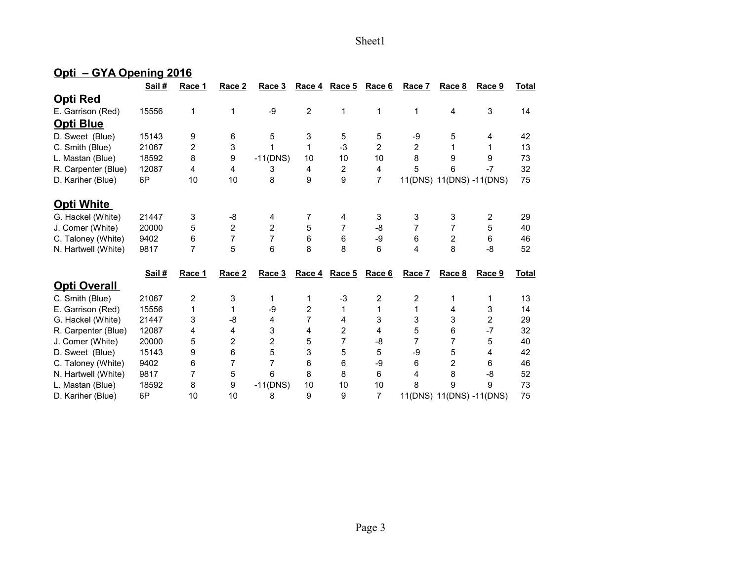## **Opti – GYA Opening 2016**

|                     | Sail # | Race 1         | Race 2         | Race 3         | Race 4         | Race 5         | Race 6         | Race 7         | Race 8         | Race 9                   | <b>Total</b> |
|---------------------|--------|----------------|----------------|----------------|----------------|----------------|----------------|----------------|----------------|--------------------------|--------------|
| <u>Opti Red</u>     |        |                |                |                |                |                |                |                |                |                          |              |
| E. Garrison (Red)   | 15556  | 1              | 1              | $-9$           | $\overline{2}$ | 1              | 1              | 1              | 4              | 3                        | 14           |
| <b>Opti Blue</b>    |        |                |                |                |                |                |                |                |                |                          |              |
| D. Sweet (Blue)     | 15143  | 9              | 6              | 5              | 3              | 5              | 5              | -9             | 5              | 4                        | 42           |
| C. Smith (Blue)     | 21067  | 2              | 3              | 1              | 1              | $-3$           | 2              | 2              | 1              |                          | 13           |
| L. Mastan (Blue)    | 18592  | 8              | 9              | $-11(DNS)$     | 10             | 10             | 10             | 8              | 9              | 9                        | 73           |
| R. Carpenter (Blue) | 12087  | 4              | 4              | 3              | 4              | $\overline{c}$ | 4              | 5              | 6              | $-7$                     | 32           |
| D. Kariher (Blue)   | 6P     | 10             | 10             | 8              | 9              | 9              | 7              |                |                | 11(DNS) 11(DNS) -11(DNS) | 75           |
| <b>Opti White</b>   |        |                |                |                |                |                |                |                |                |                          |              |
|                     |        |                |                |                |                |                |                |                |                |                          |              |
| G. Hackel (White)   | 21447  | 3              | $-8$           | 4              | 7              | 4              | 3              | 3              | 3              | 2                        | 29           |
| J. Comer (White)    | 20000  | 5              | $\overline{2}$ | 2              | 5              | 7              | -8             | 7              | 7              | 5                        | 40           |
| C. Taloney (White)  | 9402   | 6              | 7              | 7              | 6              | 6              | -9             | 6              | $\overline{c}$ | 6                        | 46           |
| N. Hartwell (White) | 9817   | 7              | 5              | 6              | 8              | 8              | 6              | 4              | 8              | -8                       | 52           |
|                     | Sail#  | Race 1         | Race 2         | Race 3         | Race 4         | Race 5         | Race 6         | Race 7         | Race 8         | Race 9                   | <b>Total</b> |
| <b>Opti Overall</b> |        |                |                |                |                |                |                |                |                |                          |              |
| C. Smith (Blue)     | 21067  | $\overline{2}$ | 3              | 1              | 1              | $-3$           | 2              | $\overline{2}$ | 1              | 1                        | 13           |
| E. Garrison (Red)   | 15556  | 1              | 1              | -9             | 2              | 1              | $\mathbf{1}$   | 1              | 4              | 3                        | 14           |
| G. Hackel (White)   | 21447  | 3              | -8             | 4              | 7              | 4              | 3              | 3              | 3              | $\overline{2}$           | 29           |
| R. Carpenter (Blue) | 12087  | 4              | 4              | 3              | 4              | 2              | 4              | 5              | 6              | $-7$                     | 32           |
| J. Comer (White)    | 20000  | 5              | $\overline{c}$ | $\overline{c}$ | 5              | 7              | -8             | 7              | 7              | 5                        | 40           |
| D. Sweet (Blue)     | 15143  | 9              | 6              | 5              | 3              | 5              | 5              | -9             | 5              | 4                        | 42           |
| C. Taloney (White)  | 9402   | 6              | 7              | 7              | 6              | 6              | -9             | 6              | 2              | 6                        | 46           |
| N. Hartwell (White) | 9817   | 7              | 5              | 6              | 8              | 8              | 6              | 4              | 8              | -8                       | 52           |
| L. Mastan (Blue)    | 18592  | 8              | 9              | $-11(DNS)$     | 10             | 10             | 10             | 8              | 9              | 9                        | 73           |
| D. Kariher (Blue)   | 6P     | 10             | 10             | 8              | 9              | 9              | $\overline{7}$ | 11(DNS)        |                | 11(DNS) -11(DNS)         | 75           |